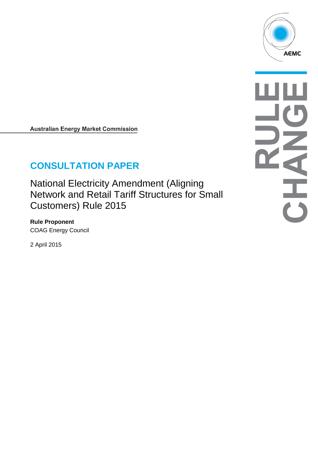

**Australian Energy Market Commission** 

# **CONSULTATION PAPER**

National Electricity Amendment (Aligning Network and Retail Tariff Structures for Small Customers) Rule 2015

**Rule Proponent** COAG Energy Council

2 April 2015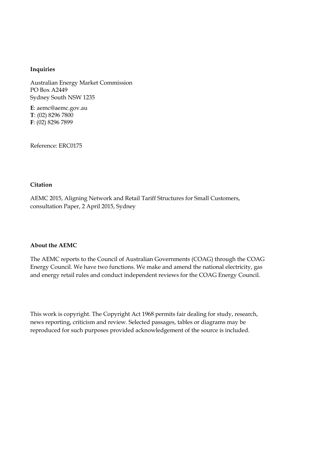#### **Inquiries**

Australian Energy Market Commission PO Box A2449 Sydney South NSW 1235

**E**: aemc@aemc.gov.au **T**: (02) 8296 7800 **F**: (02) 8296 7899

Reference: ERC0175

#### **Citation**

AEMC 2015, Aligning Network and Retail Tariff Structures for Small Customers, consultation Paper, 2 April 2015, Sydney

#### **About the AEMC**

The AEMC reports to the Council of Australian Governments (COAG) through the COAG Energy Council. We have two functions. We make and amend the national electricity, gas and energy retail rules and conduct independent reviews for the COAG Energy Council.

This work is copyright. The Copyright Act 1968 permits fair dealing for study, research, news reporting, criticism and review. Selected passages, tables or diagrams may be reproduced for such purposes provided acknowledgement of the source is included.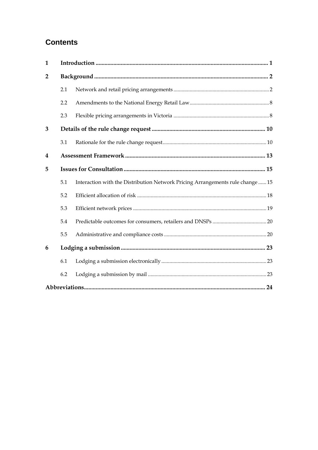# **Contents**

| $\mathbf{1}$   |     |                                                                                |  |  |
|----------------|-----|--------------------------------------------------------------------------------|--|--|
| $\overline{2}$ |     |                                                                                |  |  |
|                | 2.1 |                                                                                |  |  |
|                | 2.2 |                                                                                |  |  |
|                | 2.3 |                                                                                |  |  |
| 3              |     |                                                                                |  |  |
|                | 3.1 |                                                                                |  |  |
| 4              |     |                                                                                |  |  |
| 5              |     |                                                                                |  |  |
|                | 5.1 | Interaction with the Distribution Network Pricing Arrangements rule change  15 |  |  |
|                | 5.2 |                                                                                |  |  |
|                | 5.3 |                                                                                |  |  |
|                | 5.4 |                                                                                |  |  |
|                | 5.5 |                                                                                |  |  |
| 6              |     |                                                                                |  |  |
|                | 6.1 |                                                                                |  |  |
|                | 6.2 |                                                                                |  |  |
|                |     |                                                                                |  |  |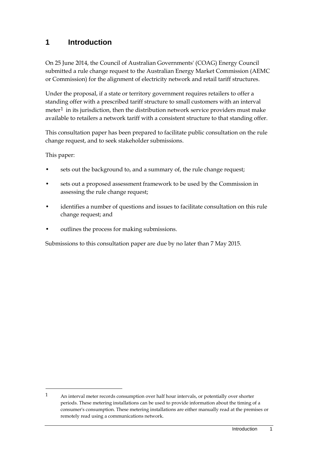### **1 Introduction**

On 25 June 2014, the Council of Australian Governments' (COAG) Energy Council submitted a rule change request to the Australian Energy Market Commission (AEMC or Commission) for the alignment of electricity network and retail tariff structures.

Under the proposal, if a state or territory government requires retailers to offer a standing offer with a prescribed tariff structure to small customers with an interval meter<sup>[1](#page-3-0)</sup> in its jurisdiction, then the distribution network service providers must make available to retailers a network tariff with a consistent structure to that standing offer.

This consultation paper has been prepared to facilitate public consultation on the rule change request, and to seek stakeholder submissions.

This paper:

-

- sets out the background to, and a summary of, the rule change request;
- sets out a proposed assessment framework to be used by the Commission in assessing the rule change request;
- identifies a number of questions and issues to facilitate consultation on this rule change request; and
- outlines the process for making submissions.

Submissions to this consultation paper are due by no later than 7 May 2015.

<span id="page-3-0"></span><sup>1</sup> An interval meter records consumption over half hour intervals, or potentially over shorter periods. These metering installations can be used to provide information about the timing of a consumer's consumption. These metering installations are either manually read at the premises or remotely read using a communications network.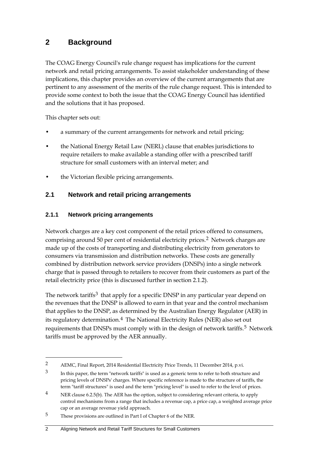# **2 Background**

The COAG Energy Council's rule change request has implications for the current network and retail pricing arrangements. To assist stakeholder understanding of these implications, this chapter provides an overview of the current arrangements that are pertinent to any assessment of the merits of the rule change request. This is intended to provide some context to both the issue that the COAG Energy Council has identified and the solutions that it has proposed.

This chapter sets out:

-

- a summary of the current arrangements for network and retail pricing;
- the National Energy Retail Law (NERL) clause that enables jurisdictions to require retailers to make available a standing offer with a prescribed tariff structure for small customers with an interval meter; and
- the Victorian flexible pricing arrangements.

### **2.1 Network and retail pricing arrangements**

### **2.1.1 Network pricing arrangements**

Network charges are a key cost component of the retail prices offered to consumers, comprising around 50 per cent of residential electricity prices.[2](#page-4-0) Network charges are made up of the costs of transporting and distributing electricity from generators to consumers via transmission and distribution networks. These costs are generally combined by distribution network service providers (DNSPs) into a single network charge that is passed through to retailers to recover from their customers as part of the retail electricity price (this is discussed further in section 2.1.2).

The network tariffs<sup>[3](#page-4-1)</sup> that apply for a specific DNSP in any particular year depend on the revenues that the DNSP is allowed to earn in that year and the control mechanism that applies to the DNSP, as determined by the Australian Energy Regulator (AER) in its regulatory determination.<sup>[4](#page-4-2)</sup> The National Electricity Rules (NER) also set out requirements that DNSPs must comply with in the design of network tariffs.[5](#page-4-3) Network tariffs must be approved by the AER annually.

#### 2 Aligning Network and Retail Tariff Structures for Small Customers

<span id="page-4-0"></span><sup>2</sup> AEMC, Final Report, 2014 Residential Electricity Price Trends, 11 December 2014, p.vi.

<span id="page-4-1"></span><sup>&</sup>lt;sup>3</sup> In this paper, the term "network tariffs" is used as a generic term to refer to both structure and pricing levels of DNSPs' charges. Where specific reference is made to the structure of tariffs, the term "tariff structures" is used and the term "pricing level" is used to refer to the level of prices.

<span id="page-4-2"></span><sup>&</sup>lt;sup>4</sup> NER clause 6.2.5(b). The AER has the option, subject to considering relevant criteria, to apply control mechanisms from a range that includes a revenue cap, a price cap, a weighted average price cap or an average revenue yield approach.

<span id="page-4-3"></span><sup>5</sup> These provisions are outlined in Part I of Chapter 6 of the NER.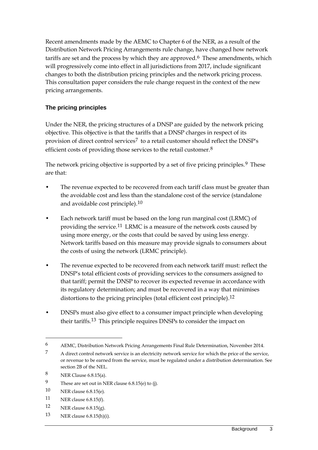Recent amendments made by the AEMC to Chapter 6 of the NER, as a result of the Distribution Network Pricing Arrangements rule change, have changed how network tariffs are set and the process by which they are approved.<sup>[6](#page-5-0)</sup> These amendments, which will progressively come into effect in all jurisdictions from 2017, include significant changes to both the distribution pricing principles and the network pricing process. This consultation paper considers the rule change request in the context of the new pricing arrangements.

### **The pricing principles**

Under the NER, the pricing structures of a DNSP are guided by the network pricing objective. This objective is that the tariffs that a DNSP charges in respect of its provision of direct control services<sup>[7](#page-5-1)</sup> to a retail customer should reflect the DNSP's efficient costs of providing those services to the retail customer.<sup>[8](#page-5-2)</sup>

The network pricing objective is supported by a set of five pricing principles.<sup>[9](#page-5-3)</sup> These are that:

- The revenue expected to be recovered from each tariff class must be greater than the avoidable cost and less than the standalone cost of the service (standalone and avoidable cost principle).[10](#page-5-4)
- Each network tariff must be based on the long run marginal cost (LRMC) of providing the service.[11](#page-5-5) LRMC is a measure of the network costs caused by using more energy, or the costs that could be saved by using less energy. Network tariffs based on this measure may provide signals to consumers about the costs of using the network (LRMC principle).
- The revenue expected to be recovered from each network tariff must: reflect the DNSP's total efficient costs of providing services to the consumers assigned to that tariff; permit the DNSP to recover its expected revenue in accordance with its regulatory determination; and must be recovered in a way that minimises distortions to the pricing principles (total efficient cost principle).<sup>[12](#page-5-6)</sup>
- DNSPs must also give effect to a consumer impact principle when developing their tariffs.[13](#page-5-7) This principle requires DNSPs to consider the impact on

- <span id="page-5-6"></span>12 NER clause  $6.8.15(g)$ .
- <span id="page-5-7"></span>13 NER clause 6.8.15(h)(i).

<span id="page-5-0"></span><sup>6</sup> AEMC, Distribution Network Pricing Arrangements Final Rule Determination, November 2014.

<span id="page-5-1"></span><sup>&</sup>lt;sup>7</sup> A direct control network service is an electricity network service for which the price of the service, or revenue to be earned from the service, must be regulated under a distribution determination. See section 2B of the NEL.

<span id="page-5-2"></span><sup>8</sup> NER Clause 6.8.15(a).

<span id="page-5-3"></span><sup>9</sup> These are set out in NER clause 6.8.15(e) to (j).

<span id="page-5-4"></span><sup>10</sup> NER clause 6.8.15(e).

<span id="page-5-5"></span><sup>11</sup> NER clause 6.8.15(f).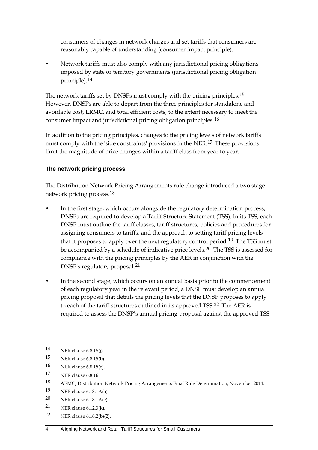consumers of changes in network charges and set tariffs that consumers are reasonably capable of understanding (consumer impact principle).

• Network tariffs must also comply with any jurisdictional pricing obligations imposed by state or territory governments (jurisdictional pricing obligation principle).[14](#page-6-0)

The network tariffs set by DNSPs must comply with the pricing principles.<sup>[15](#page-6-1)</sup> However, DNSPs are able to depart from the three principles for standalone and avoidable cost, LRMC, and total efficient costs, to the extent necessary to meet the consumer impact and jurisdictional pricing obligation principles.[16](#page-6-2)

In addition to the pricing principles, changes to the pricing levels of network tariffs must comply with the 'side constraints' provisions in the NER.[17](#page-6-3) These provisions limit the magnitude of price changes within a tariff class from year to year.

#### **The network pricing process**

The Distribution Network Pricing Arrangements rule change introduced a two stage network pricing process.[18](#page-6-4)

- In the first stage, which occurs alongside the regulatory determination process, DNSPs are required to develop a Tariff Structure Statement (TSS). In its TSS, each DNSP must outline the tariff classes, tariff structures, policies and procedures for assigning consumers to tariffs, and the approach to setting tariff pricing levels that it proposes to apply over the next regulatory control period.<sup>[19](#page-6-5)</sup> The TSS must be accompanied by a schedule of indicative price levels.<sup>[20](#page-6-6)</sup> The TSS is assessed for compliance with the pricing principles by the AER in conjunction with the DNSP's regulatory proposal.[21](#page-6-7)
- In the second stage, which occurs on an annual basis prior to the commencement of each regulatory year in the relevant period, a DNSP must develop an annual pricing proposal that details the pricing levels that the DNSP proposes to apply to each of the tariff structures outlined in its approved TSS.<sup>[22](#page-6-8)</sup> The AER is required to assess the DNSP's annual pricing proposal against the approved TSS

-

<span id="page-6-3"></span>17 NER clause 6.8.16.

- <span id="page-6-5"></span>19 NER clause 6.18.1A(a).
- <span id="page-6-6"></span>20 NER clause 6.18.1A(e).
- <span id="page-6-7"></span>21 NER clause 6.12.3(k).
- <span id="page-6-8"></span>22 NER clause 6.18.2(b)(2).

<span id="page-6-0"></span><sup>14</sup> NER clause 6.8.15(j).

<span id="page-6-1"></span><sup>15</sup> NER clause 6.8.15(b).

<span id="page-6-2"></span><sup>16</sup> NER clause 6.8.15(c).

<span id="page-6-4"></span><sup>18</sup> AEMC, Distribution Network Pricing Arrangements Final Rule Determination, November 2014.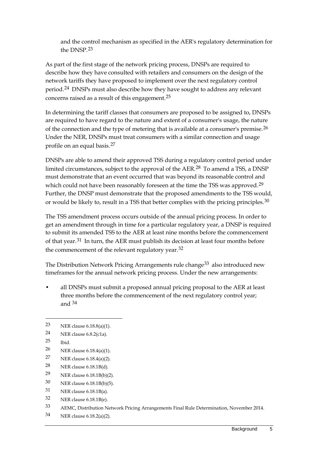and the control mechanism as specified in the AER's regulatory determination for the DNSP.[23](#page-7-0)

As part of the first stage of the network pricing process, DNSPs are required to describe how they have consulted with retailers and consumers on the design of the network tariffs they have proposed to implement over the next regulatory control period.[24](#page-7-1) DNSPs must also describe how they have sought to address any relevant concerns raised as a result of this engagement.[25](#page-7-2)

In determining the tariff classes that consumers are proposed to be assigned to, DNSPs are required to have regard to the nature and extent of a consumer's usage, the nature of the connection and the type of metering that is available at a consumer's premise.<sup>[26](#page-7-3)</sup> Under the NER, DNSPs must treat consumers with a similar connection and usage profile on an equal basis.[27](#page-7-4)

DNSPs are able to amend their approved TSS during a regulatory control period under limited circumstances, subject to the approval of the AER.[28](#page-7-5) To amend a TSS, a DNSP must demonstrate that an event occurred that was beyond its reasonable control and which could not have been reasonably foreseen at the time the TSS was approved.<sup>[29](#page-7-6)</sup> Further, the DNSP must demonstrate that the proposed amendments to the TSS would, or would be likely to, result in a TSS that better complies with the pricing principles. $30$ 

The TSS amendment process occurs outside of the annual pricing process. In order to get an amendment through in time for a particular regulatory year, a DNSP is required to submit its amended TSS to the AER at least nine months before the commencement of that year.<sup>[31](#page-7-8)</sup> In turn, the AER must publish its decision at least four months before the commencement of the relevant regulatory year.<sup>[32](#page-7-9)</sup>

The Distribution Network Pricing Arrangements rule change<sup>[33](#page-7-10)</sup> also introduced new timeframes for the annual network pricing process. Under the new arrangements:

• all DNSPs must submit a proposed annual pricing proposal to the AER at least three months before the commencement of the next regulatory control year; and [34](#page-7-11)

<span id="page-7-2"></span>25 Ibid.

- <span id="page-7-3"></span>26 NER clause 6.18.4(a)(1).
- <span id="page-7-4"></span>27 NER clause 6.18.4(a)(2).
- <span id="page-7-5"></span>28 NER clause 6.18.1B(d).
- <span id="page-7-6"></span>29 NER clause 6.18.1B(b)(2).
- <span id="page-7-7"></span>30 NER clause 6.18.1B(b)(5).
- <span id="page-7-8"></span>31 NER clause 6.18.1B(a).
- <span id="page-7-9"></span>32 NER clause 6.18.1B(e).
- <span id="page-7-10"></span>33 AEMC, Distribution Network Pricing Arrangements Final Rule Determination, November 2014.
- <span id="page-7-11"></span>34 NER clause 6.18.2(a)(2).

<span id="page-7-0"></span><sup>23</sup> NER clause 6.18.8(a)(1).

<span id="page-7-1"></span><sup>24</sup> NER clause 6.8.2(c1a).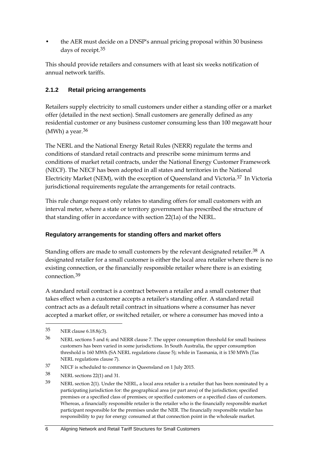• the AER must decide on a DNSP's annual pricing proposal within 30 business days of receipt.[35](#page-8-0)

This should provide retailers and consumers with at least six weeks notification of annual network tariffs.

### **2.1.2 Retail pricing arrangements**

Retailers supply electricity to small customers under either a standing offer or a market offer (detailed in the next section). Small customers are generally defined as any residential customer or any business customer consuming less than 100 megawatt hour (MWh) a year. $36$ 

The NERL and the National Energy Retail Rules (NERR) regulate the terms and conditions of standard retail contracts and prescribe some minimum terms and conditions of market retail contracts, under the National Energy Customer Framework (NECF). The NECF has been adopted in all states and territories in the National Electricity Market (NEM), with the exception of Queensland and Victoria.[37](#page-8-2) In Victoria jurisdictional requirements regulate the arrangements for retail contracts.

This rule change request only relates to standing offers for small customers with an interval meter, where a state or territory government has prescribed the structure of that standing offer in accordance with section 22(1a) of the NERL.

### **Regulatory arrangements for standing offers and market offers**

Standing offers are made to small customers by the relevant designated retailer.[38](#page-8-3) A designated retailer for a small customer is either the local area retailer where there is no existing connection, or the financially responsible retailer where there is an existing connection.[39](#page-8-4)

A standard retail contract is a contract between a retailer and a small customer that takes effect when a customer accepts a retailer's standing offer. A standard retail contract acts as a default retail contract in situations where a consumer has never accepted a market offer, or switched retailer, or where a consumer has moved into a

<span id="page-8-0"></span><sup>35</sup> NER clause 6.18.8(c3).

<span id="page-8-1"></span><sup>36</sup> NERL sections 5 and 6; and NERR clause 7. The upper consumption threshold for small business customers has been varied in some jurisdictions. In South Australia, the upper consumption threshold is 160 MWh (SA NERL regulations clause 5); while in Tasmania, it is 150 MWh (Tas NERL regulations clause 7).

<span id="page-8-2"></span><sup>37</sup> NECF is scheduled to commence in Queensland on 1 July 2015.

<span id="page-8-3"></span><sup>38</sup> NERL sections 22(1) and 31.

<span id="page-8-4"></span><sup>39</sup> NERL section 2(1). Under the NERL, a local area retailer is a retailer that has been nominated by a participating jurisdiction for: the geographical area (or part area) of the jurisdiction; specified premises or a specified class of premises; or specified customers or a specified class of customers. Whereas, a financially responsible retailer is the retailer who is the financially responsible market participant responsible for the premises under the NER. The financially responsible retailer has responsibility to pay for energy consumed at that connection point in the wholesale market.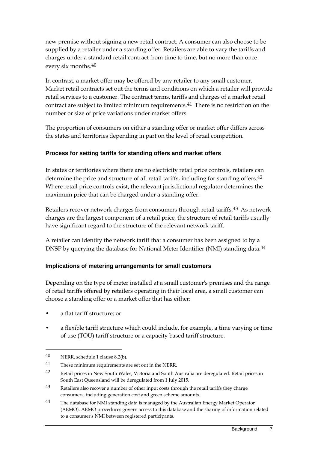new premise without signing a new retail contract. A consumer can also choose to be supplied by a retailer under a standing offer. Retailers are able to vary the tariffs and charges under a standard retail contract from time to time, but no more than once every six months.[40](#page-9-0)

In contrast, a market offer may be offered by any retailer to any small customer. Market retail contracts set out the terms and conditions on which a retailer will provide retail services to a customer. The contract terms, tariffs and charges of a market retail contract are subject to limited minimum requirements.[41](#page-9-1) There is no restriction on the number or size of price variations under market offers.

The proportion of consumers on either a standing offer or market offer differs across the states and territories depending in part on the level of retail competition.

### **Process for setting tariffs for standing offers and market offers**

In states or territories where there are no electricity retail price controls, retailers can determine the price and structure of all retail tariffs, including for standing offers.<sup>[42](#page-9-2)</sup> Where retail price controls exist, the relevant jurisdictional regulator determines the maximum price that can be charged under a standing offer.

Retailers recover network charges from consumers through retail tariffs.[43](#page-9-3) As network charges are the largest component of a retail price, the structure of retail tariffs usually have significant regard to the structure of the relevant network tariff.

A retailer can identify the network tariff that a consumer has been assigned to by a DNSP by querying the database for National Meter Identifier (NMI) standing data.<sup>[44](#page-9-4)</sup>

### **Implications of metering arrangements for small customers**

Depending on the type of meter installed at a small customer's premises and the range of retail tariffs offered by retailers operating in their local area, a small customer can choose a standing offer or a market offer that has either:

- a flat tariff structure; or
- a flexible tariff structure which could include, for example, a time varying or time of use (TOU) tariff structure or a capacity based tariff structure.

<span id="page-9-0"></span><sup>40</sup> NERR, schedule 1 clause 8.2(b).

<span id="page-9-1"></span><sup>41</sup> These minimum requirements are set out in the NERR.

<span id="page-9-2"></span><sup>42</sup> Retail prices in New South Wales, Victoria and South Australia are deregulated. Retail prices in South East Queensland will be deregulated from 1 July 2015.

<span id="page-9-3"></span><sup>43</sup> Retailers also recover a number of other input costs through the retail tariffs they charge consumers, including generation cost and green scheme amounts.

<span id="page-9-4"></span><sup>&</sup>lt;sup>44</sup> The database for NMI standing data is managed by the Australian Energy Market Operator (AEMO). AEMO procedures govern access to this database and the sharing of information related to a consumer's NMI between registered participants.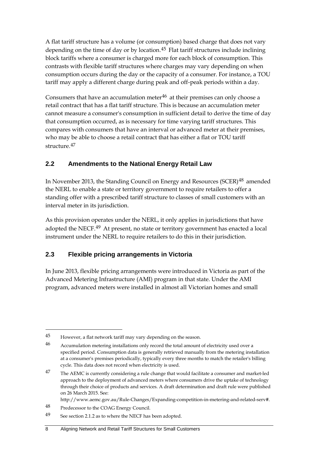A flat tariff structure has a volume (or consumption) based charge that does not vary depending on the time of day or by location.<sup>[45](#page-10-0)</sup> Flat tariff structures include inclining block tariffs where a consumer is charged more for each block of consumption. This contrasts with flexible tariff structures where charges may vary depending on when consumption occurs during the day or the capacity of a consumer. For instance, a TOU tariff may apply a different charge during peak and off-peak periods within a day.

Consumers that have an accumulation meter $46$  at their premises can only choose a retail contract that has a flat tariff structure. This is because an accumulation meter cannot measure a consumer's consumption in sufficient detail to derive the time of day that consumption occurred, as is necessary for time varying tariff structures. This compares with consumers that have an interval or advanced meter at their premises, who may be able to choose a retail contract that has either a flat or TOU tariff structure.[47](#page-10-2)

### **2.2 Amendments to the National Energy Retail Law**

In November 2013, the Standing Council on Energy and Resources (SCER)<sup>[48](#page-10-3)</sup> amended the NERL to enable a state or territory government to require retailers to offer a standing offer with a prescribed tariff structure to classes of small customers with an interval meter in its jurisdiction.

As this provision operates under the NERL, it only applies in jurisdictions that have adopted the NECF.<sup>[49](#page-10-4)</sup> At present, no state or territory government has enacted a local instrument under the NERL to require retailers to do this in their jurisdiction.

### **2.3 Flexible pricing arrangements in Victoria**

In June 2013, flexible pricing arrangements were introduced in Victoria as part of the Advanced Metering Infrastructure (AMI) program in that state. Under the AMI program, advanced meters were installed in almost all Victorian homes and small

http://www.aemc.gov.au/Rule-Changes/Expanding-competition-in-metering-and-related-serv#.

<span id="page-10-0"></span><sup>45</sup> However, a flat network tariff may vary depending on the season.

<span id="page-10-1"></span><sup>46</sup> Accumulation metering installations only record the total amount of electricity used over a specified period. Consumption data is generally retrieved manually from the metering installation at a consumer's premises periodically, typically every three months to match the retailer's billing cycle. This data does not record when electricity is used.

<span id="page-10-2"></span><sup>&</sup>lt;sup>47</sup> The AEMC is currently considering a rule change that would facilitate a consumer and market-led approach to the deployment of advanced meters where consumers drive the uptake of technology through their choice of products and services. A draft determination and draft rule were published on 26 March 2015. See:

<span id="page-10-3"></span><sup>48</sup> Predecessor to the COAG Energy Council.

<span id="page-10-4"></span><sup>49</sup> See section 2.1.2 as to where the NECF has been adopted.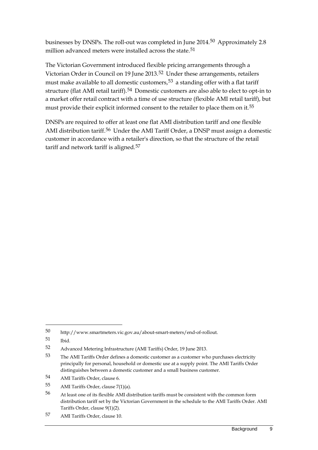businesses by DNSPs. The roll-out was completed in June 2014.[50](#page-11-0) Approximately 2.8 million advanced meters were installed across the state.<sup>[51](#page-11-1)</sup>

The Victorian Government introduced flexible pricing arrangements through a Victorian Order in Council on 19 June 2013.<sup>[52](#page-11-2)</sup> Under these arrangements, retailers must make available to all domestic customers,<sup>[53](#page-11-3)</sup> a standing offer with a flat tariff structure (flat AMI retail tariff).<sup>[54](#page-11-4)</sup> Domestic customers are also able to elect to opt-in to a market offer retail contract with a time of use structure (flexible AMI retail tariff), but must provide their explicit informed consent to the retailer to place them on it.<sup>[55](#page-11-5)</sup>

DNSPs are required to offer at least one flat AMI distribution tariff and one flexible AMI distribution tariff.<sup>[56](#page-11-6)</sup> Under the AMI Tariff Order, a DNSP must assign a domestic customer in accordance with a retailer's direction, so that the structure of the retail tariff and network tariff is aligned.<sup>[57](#page-11-7)</sup>

<span id="page-11-0"></span><sup>50</sup> http://www.smartmeters.vic.gov.au/about-smart-meters/end-of-rollout.

<span id="page-11-1"></span><sup>51</sup> Ibid.

<span id="page-11-2"></span><sup>52</sup> Advanced Metering Infrastructure (AMI Tariffs) Order, 19 June 2013.

<span id="page-11-3"></span><sup>53</sup> The AMI Tariffs Order defines a domestic customer as a customer who purchases electricity principally for personal, household or domestic use at a supply point. The AMI Tariffs Order distinguishes between a domestic customer and a small business customer.

<span id="page-11-4"></span><sup>54</sup> AMI Tariffs Order, clause 6.

<span id="page-11-5"></span><sup>55</sup> AMI Tariffs Order, clause 7(1)(a).

<span id="page-11-6"></span><sup>56</sup> At least one of its flexible AMI distribution tariffs must be consistent with the common form distribution tariff set by the Victorian Government in the schedule to the AMI Tariffs Order. AMI Tariffs Order, clause 9(1)(2).

<span id="page-11-7"></span><sup>57</sup> AMI Tariffs Order, clause 10.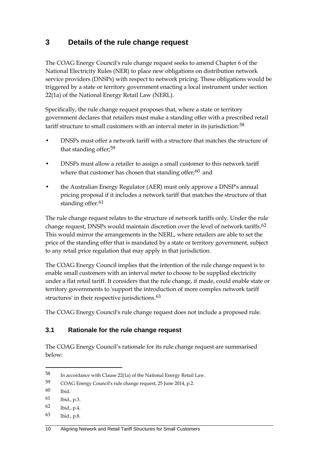# **3 Details of the rule change request**

The COAG Energy Council's rule change request seeks to amend Chapter 6 of the National Electricity Rules (NER) to place new obligations on distribution network service providers (DNSPs) with respect to network pricing. These obligations would be triggered by a state or territory government enacting a local instrument under section 22(1a) of the National Energy Retail Law (NERL).

Specifically, the rule change request proposes that, where a state or territory government declares that retailers must make a standing offer with a prescribed retail tariff structure to small customers with an interval meter in its jurisdiction:<sup>[58](#page-12-0)</sup>

- DNSPs must offer a network tariff with a structure that matches the structure of that standing offer;[59](#page-12-1)
- DNSPs must allow a retailer to assign a small customer to this network tariff where that customer has chosen that standing offer; $60$  and
- the Australian Energy Regulator (AER) must only approve a DNSP's annual pricing proposal if it includes a network tariff that matches the structure of that standing offer.<sup>[61](#page-12-3)</sup>

The rule change request relates to the structure of network tariffs only. Under the rule change request, DNSPs would maintain discretion over the level of network tariffs.<sup>[62](#page-12-4)</sup> This would mirror the arrangements in the NERL, where retailers are able to set the price of the standing offer that is mandated by a state or territory government, subject to any retail price regulation that may apply in that jurisdiction.

The COAG Energy Council implies that the intention of the rule change request is to enable small customers with an interval meter to choose to be supplied electricity under a flat retail tariff. It considers that the rule change, if made, could enable state or territory governments to 'support the introduction of more complex network tariff structures' in their respective jurisdictions.<sup>[63](#page-12-5)</sup>

The COAG Energy Council's rule change request does not include a proposed rule.

### **3.1 Rationale for the rule change request**

The COAG Energy Council's rationale for its rule change request are summarised below:

-

<span id="page-12-5"></span>63 Ibid., p.8.

<span id="page-12-0"></span><sup>58</sup> In accordance with Clause 22(1a) of the National Energy Retail Law.

<span id="page-12-1"></span><sup>59</sup> COAG Energy Council's rule change request, 25 June 2014, p.2.

<span id="page-12-2"></span><sup>60</sup> Ibid.

<span id="page-12-3"></span><sup>61</sup> Ibid., p.3.

<span id="page-12-4"></span><sup>62</sup> Ibid., p.4.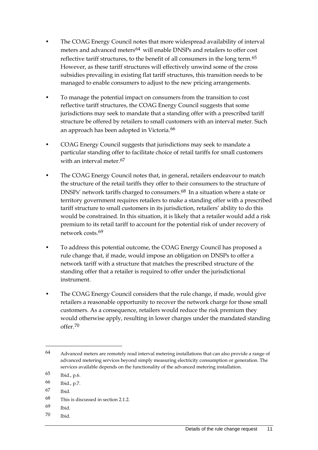- The COAG Energy Council notes that more widespread availability of interval meters and advanced meters<sup>[64](#page-13-0)</sup> will enable DNSPs and retailers to offer cost reflective tariff structures, to the benefit of all consumers in the long term.<sup>[65](#page-13-1)</sup> However, as these tariff structures will effectively unwind some of the cross subsidies prevailing in existing flat tariff structures, this transition needs to be managed to enable consumers to adjust to the new pricing arrangements.
- To manage the potential impact on consumers from the transition to cost reflective tariff structures, the COAG Energy Council suggests that some jurisdictions may seek to mandate that a standing offer with a prescribed tariff structure be offered by retailers to small customers with an interval meter. Such an approach has been adopted in Victoria.<sup>[66](#page-13-2)</sup>
- COAG Energy Council suggests that jurisdictions may seek to mandate a particular standing offer to facilitate choice of retail tariffs for small customers with an interval meter.<sup>[67](#page-13-3)</sup>
- The COAG Energy Council notes that, in general, retailers endeavour to match the structure of the retail tariffs they offer to their consumers to the structure of DNSPs' network tariffs charged to consumers.<sup>[68](#page-13-4)</sup> In a situation where a state or territory government requires retailers to make a standing offer with a prescribed tariff structure to small customers in its jurisdiction, retailers' ability to do this would be constrained. In this situation, it is likely that a retailer would add a risk premium to its retail tariff to account for the potential risk of under recovery of network costs.[69](#page-13-5)
- To address this potential outcome, the COAG Energy Council has proposed a rule change that, if made, would impose an obligation on DNSPs to offer a network tariff with a structure that matches the prescribed structure of the standing offer that a retailer is required to offer under the jurisdictional instrument.
- The COAG Energy Council considers that the rule change, if made, would give retailers a reasonable opportunity to recover the network charge for those small customers. As a consequence, retailers would reduce the risk premium they would otherwise apply, resulting in lower charges under the mandated standing offer.[70](#page-13-6)

- <span id="page-13-4"></span>68 This is discussed in section 2.1.2.
- <span id="page-13-5"></span>69 Ibid.
- <span id="page-13-6"></span>70 Ibid.

<span id="page-13-0"></span><sup>64</sup> Advanced meters are remotely read interval metering installations that can also provide a range of advanced metering services beyond simply measuring electricity consumption or generation. The services available depends on the functionality of the advanced metering installation.

<span id="page-13-1"></span><sup>65</sup> Ibid., p.6.

<span id="page-13-2"></span><sup>66</sup> Ibid., p.7.

<span id="page-13-3"></span><sup>67</sup> Ibid.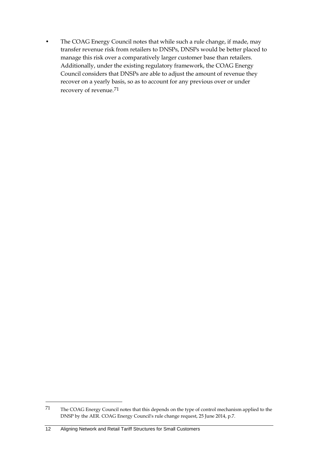• The COAG Energy Council notes that while such a rule change, if made, may transfer revenue risk from retailers to DNSPs, DNSPs would be better placed to manage this risk over a comparatively larger customer base than retailers. Additionally, under the existing regulatory framework, the COAG Energy Council considers that DNSPs are able to adjust the amount of revenue they recover on a yearly basis, so as to account for any previous over or under recovery of revenue.[71](#page-14-0)

<span id="page-14-0"></span><sup>71</sup> The COAG Energy Council notes that this depends on the type of control mechanism applied to the DNSP by the AER. COAG Energy Council's rule change request, 25 June 2014, p.7.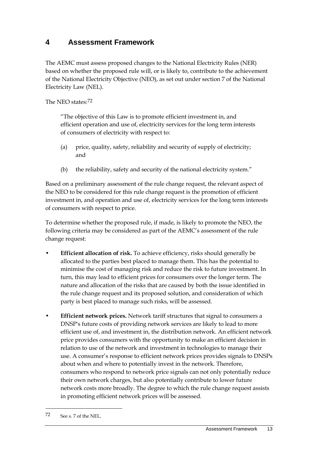# **4 Assessment Framework**

The AEMC must assess proposed changes to the National Electricity Rules (NER) based on whether the proposed rule will, or is likely to, contribute to the achievement of the National Electricity Objective (NEO), as set out under section 7 of the National Electricity Law (NEL).

The NEO states:[72](#page-15-0)

"The objective of this Law is to promote efficient investment in, and efficient operation and use of, electricity services for the long term interests of consumers of electricity with respect to:

- (a) price, quality, safety, reliability and security of supply of electricity; and
- (b) the reliability, safety and security of the national electricity system."

Based on a preliminary assessment of the rule change request, the relevant aspect of the NEO to be considered for this rule change request is the promotion of efficient investment in, and operation and use of, electricity services for the long term interests of consumers with respect to price.

To determine whether the proposed rule, if made, is likely to promote the NEO, the following criteria may be considered as part of the AEMC's assessment of the rule change request:

- **Efficient allocation of risk.** To achieve efficiency, risks should generally be allocated to the parties best placed to manage them. This has the potential to minimise the cost of managing risk and reduce the risk to future investment. In turn, this may lead to efficient prices for consumers over the longer term. The nature and allocation of the risks that are caused by both the issue identified in the rule change request and its proposed solution, and consideration of which party is best placed to manage such risks, will be assessed.
- **Efficient network prices.** Network tariff structures that signal to consumers a DNSP's future costs of providing network services are likely to lead to more efficient use of, and investment in, the distribution network. An efficient network price provides consumers with the opportunity to make an efficient decision in relation to use of the network and investment in technologies to manage their use. A consumer's response to efficient network prices provides signals to DNSPs about when and where to potentially invest in the network. Therefore, consumers who respond to network price signals can not only potentially reduce their own network charges, but also potentially contribute to lower future network costs more broadly. The degree to which the rule change request assists in promoting efficient network prices will be assessed.

<span id="page-15-0"></span><sup>72</sup> See s. 7 of the NEL.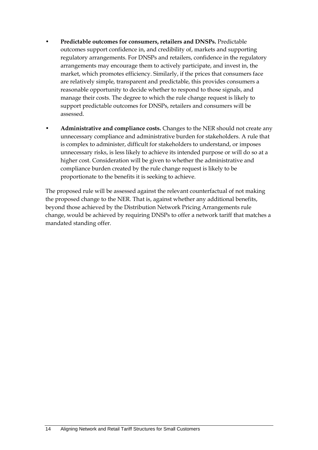- **Predictable outcomes for consumers, retailers and DNSPs.** Predictable outcomes support confidence in, and credibility of, markets and supporting regulatory arrangements. For DNSPs and retailers, confidence in the regulatory arrangements may encourage them to actively participate, and invest in, the market, which promotes efficiency. Similarly, if the prices that consumers face are relatively simple, transparent and predictable, this provides consumers a reasonable opportunity to decide whether to respond to those signals, and manage their costs. The degree to which the rule change request is likely to support predictable outcomes for DNSPs, retailers and consumers will be assessed.
- **Administrative and compliance costs.** Changes to the NER should not create any unnecessary compliance and administrative burden for stakeholders. A rule that is complex to administer, difficult for stakeholders to understand, or imposes unnecessary risks, is less likely to achieve its intended purpose or will do so at a higher cost. Consideration will be given to whether the administrative and compliance burden created by the rule change request is likely to be proportionate to the benefits it is seeking to achieve.

The proposed rule will be assessed against the relevant counterfactual of not making the proposed change to the NER. That is, against whether any additional benefits, beyond those achieved by the Distribution Network Pricing Arrangements rule change, would be achieved by requiring DNSPs to offer a network tariff that matches a mandated standing offer.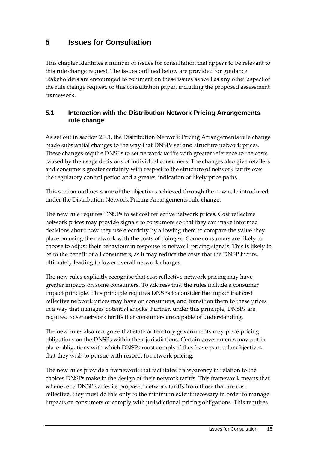# **5 Issues for Consultation**

This chapter identifies a number of issues for consultation that appear to be relevant to this rule change request. The issues outlined below are provided for guidance. Stakeholders are encouraged to comment on these issues as well as any other aspect of the rule change request, or this consultation paper, including the proposed assessment framework.

### **5.1 Interaction with the Distribution Network Pricing Arrangements rule change**

As set out in section 2.1.1, the Distribution Network Pricing Arrangements rule change made substantial changes to the way that DNSPs set and structure network prices. These changes require DNSPs to set network tariffs with greater reference to the costs caused by the usage decisions of individual consumers. The changes also give retailers and consumers greater certainty with respect to the structure of network tariffs over the regulatory control period and a greater indication of likely price paths.

This section outlines some of the objectives achieved through the new rule introduced under the Distribution Network Pricing Arrangements rule change.

The new rule requires DNSPs to set cost reflective network prices. Cost reflective network prices may provide signals to consumers so that they can make informed decisions about how they use electricity by allowing them to compare the value they place on using the network with the costs of doing so. Some consumers are likely to choose to adjust their behaviour in response to network pricing signals. This is likely to be to the benefit of all consumers, as it may reduce the costs that the DNSP incurs, ultimately leading to lower overall network charges.

The new rules explicitly recognise that cost reflective network pricing may have greater impacts on some consumers. To address this, the rules include a consumer impact principle. This principle requires DNSPs to consider the impact that cost reflective network prices may have on consumers, and transition them to these prices in a way that manages potential shocks. Further, under this principle, DNSPs are required to set network tariffs that consumers are capable of understanding.

The new rules also recognise that state or territory governments may place pricing obligations on the DNSPs within their jurisdictions. Certain governments may put in place obligations with which DNSPs must comply if they have particular objectives that they wish to pursue with respect to network pricing.

The new rules provide a framework that facilitates transparency in relation to the choices DNSPs make in the design of their network tariffs. This framework means that whenever a DNSP varies its proposed network tariffs from those that are cost reflective, they must do this only to the minimum extent necessary in order to manage impacts on consumers or comply with jurisdictional pricing obligations. This requires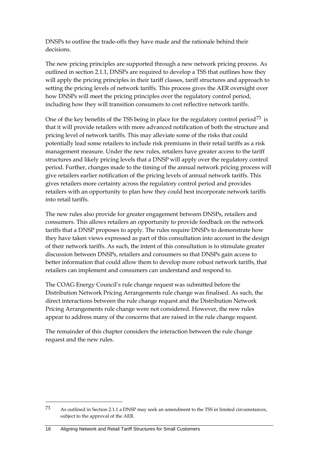DNSPs to outline the trade-offs they have made and the rationale behind their decisions.

The new pricing principles are supported through a new network pricing process. As outlined in section 2.1.1, DNSPs are required to develop a TSS that outlines how they will apply the pricing principles in their tariff classes, tariff structures and approach to setting the pricing levels of network tariffs. This process gives the AER oversight over how DNSPs will meet the pricing principles over the regulatory control period, including how they will transition consumers to cost reflective network tariffs.

One of the key benefits of the TSS being in place for the regulatory control period<sup>[73](#page-18-0)</sup> is that it will provide retailers with more advanced notification of both the structure and pricing level of network tariffs. This may alleviate some of the risks that could potentially lead some retailers to include risk premiums in their retail tariffs as a risk management measure. Under the new rules, retailers have greater access to the tariff structures and likely pricing levels that a DNSP will apply over the regulatory control period. Further, changes made to the timing of the annual network pricing process will give retailers earlier notification of the pricing levels of annual network tariffs. This gives retailers more certainty across the regulatory control period and provides retailers with an opportunity to plan how they could best incorporate network tariffs into retail tariffs.

The new rules also provide for greater engagement between DNSPs, retailers and consumers. This allows retailers an opportunity to provide feedback on the network tariffs that a DNSP proposes to apply. The rules require DNSPs to demonstrate how they have taken views expressed as part of this consultation into account in the design of their network tariffs. As such, the intent of this consultation is to stimulate greater discussion between DNSPs, retailers and consumers so that DNSPs gain access to better information that could allow them to develop more robust network tariffs, that retailers can implement and consumers can understand and respond to.

The COAG Energy Council's rule change request was submitted before the Distribution Network Pricing Arrangements rule change was finalised. As such, the direct interactions between the rule change request and the Distribution Network Pricing Arrangements rule change were not considered. However, the new rules appear to address many of the concerns that are raised in the rule change request.

The remainder of this chapter considers the interaction between the rule change request and the new rules.

<span id="page-18-0"></span><sup>73</sup> As outlined in Section 2.1.1 a DNSP may seek an amendment to the TSS in limited circumstances, subject to the approval of the AER.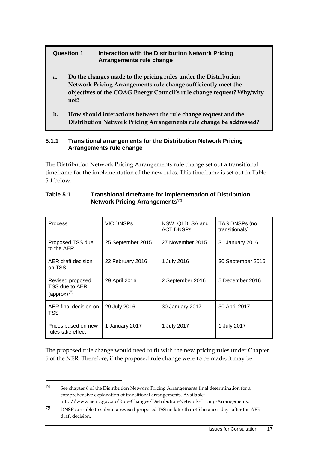#### **Question 1 Interaction with the Distribution Network Pricing Arrangements rule change**

- **a. Do the changes made to the pricing rules under the Distribution Network Pricing Arrangements rule change sufficiently meet the objectives of the COAG Energy Council's rule change request? Why/why not?**
- **b. How should interactions between the rule change request and the Distribution Network Pricing Arrangements rule change be addressed?**

#### **5.1.1 Transitional arrangements for the Distribution Network Pricing Arrangements rule change**

The Distribution Network Pricing Arrangements rule change set out a transitional timeframe for the implementation of the new rules. This timeframe is set out in Table 5.1 below.

| <b>Process</b>                                      | <b>VIC DNSPs</b>  | NSW, QLD, SA and<br><b>ACT DNSPs</b> | TAS DNSPs (no<br>transitionals) |
|-----------------------------------------------------|-------------------|--------------------------------------|---------------------------------|
| Proposed TSS due<br>to the AER                      | 25 September 2015 | 27 November 2015                     | 31 January 2016                 |
| AER draft decision<br>on TSS                        | 22 February 2016  | 1 July 2016                          | 30 September 2016               |
| Revised proposed<br>TSS due to AER<br>(approx) $75$ | 29 April 2016     | 2 September 2016                     | 5 December 2016                 |
| AER final decision on<br>TSS                        | 29 July 2016      | 30 January 2017                      | 30 April 2017                   |
| Prices based on new<br>rules take effect            | 1 January 2017    | 1 July 2017                          | 1 July 2017                     |

#### **Table 5.1 Transitional timeframe for implementation of Distribution Network Pricing Arrangements[74](#page-19-0)**

The proposed rule change would need to fit with the new pricing rules under Chapter 6 of the NER. Therefore, if the proposed rule change were to be made, it may be

<span id="page-19-0"></span><sup>74</sup> See chapter 6 of the Distribution Network Pricing Arrangements final determination for a comprehensive explanation of transitional arrangements. Available:

http://www.aemc.gov.au/Rule-Changes/Distribution-Network-Pricing-Arrangements.

<span id="page-19-1"></span><sup>75</sup> DNSPs are able to submit a revised proposed TSS no later than 45 business days after the AER's draft decision.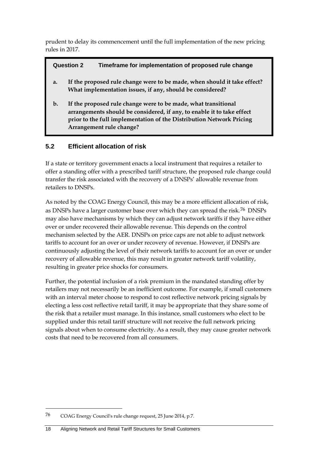prudent to delay its commencement until the full implementation of the new pricing rules in 2017.

#### **Question 2 Timeframe for implementation of proposed rule change**

- **a. If the proposed rule change were to be made, when should it take effect? What implementation issues, if any, should be considered?**
- **b. If the proposed rule change were to be made, what transitional arrangements should be considered, if any, to enable it to take effect prior to the full implementation of the Distribution Network Pricing Arrangement rule change?**

### **5.2 Efficient allocation of risk**

If a state or territory government enacts a local instrument that requires a retailer to offer a standing offer with a prescribed tariff structure, the proposed rule change could transfer the risk associated with the recovery of a DNSPs' allowable revenue from retailers to DNSPs.

As noted by the COAG Energy Council, this may be a more efficient allocation of risk, as DNSPs have a larger customer base over which they can spread the risk.<sup>[76](#page-20-0)</sup> DNSPs may also have mechanisms by which they can adjust network tariffs if they have either over or under recovered their allowable revenue. This depends on the control mechanism selected by the AER. DNSPs on price caps are not able to adjust network tariffs to account for an over or under recovery of revenue. However, if DNSPs are continuously adjusting the level of their network tariffs to account for an over or under recovery of allowable revenue, this may result in greater network tariff volatility, resulting in greater price shocks for consumers.

Further, the potential inclusion of a risk premium in the mandated standing offer by retailers may not necessarily be an inefficient outcome. For example, if small customers with an interval meter choose to respond to cost reflective network pricing signals by electing a less cost reflective retail tariff, it may be appropriate that they share some of the risk that a retailer must manage. In this instance, small customers who elect to be supplied under this retail tariff structure will not receive the full network pricing signals about when to consume electricity. As a result, they may cause greater network costs that need to be recovered from all consumers.

<span id="page-20-0"></span><sup>76</sup> COAG Energy Council's rule change request, 25 June 2014, p.7.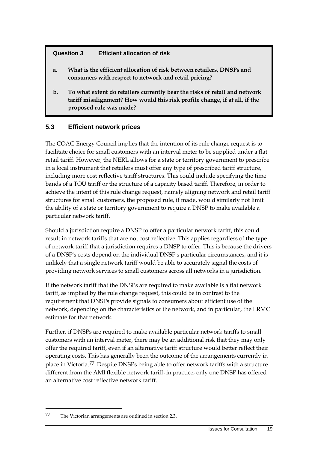#### **Question 3 Efficient allocation of risk**

- **a. What is the efficient allocation of risk between retailers, DNSPs and consumers with respect to network and retail pricing?**
- **b. To what extent do retailers currently bear the risks of retail and network tariff misalignment? How would this risk profile change, if at all, if the proposed rule was made?**

### **5.3 Efficient network prices**

The COAG Energy Council implies that the intention of its rule change request is to facilitate choice for small customers with an interval meter to be supplied under a flat retail tariff. However, the NERL allows for a state or territory government to prescribe in a local instrument that retailers must offer any type of prescribed tariff structure, including more cost reflective tariff structures. This could include specifying the time bands of a TOU tariff or the structure of a capacity based tariff. Therefore, in order to achieve the intent of this rule change request, namely aligning network and retail tariff structures for small customers, the proposed rule, if made, would similarly not limit the ability of a state or territory government to require a DNSP to make available a particular network tariff.

Should a jurisdiction require a DNSP to offer a particular network tariff, this could result in network tariffs that are not cost reflective. This applies regardless of the type of network tariff that a jurisdiction requires a DNSP to offer. This is because the drivers of a DNSP's costs depend on the individual DNSP's particular circumstances, and it is unlikely that a single network tariff would be able to accurately signal the costs of providing network services to small customers across all networks in a jurisdiction.

If the network tariff that the DNSPs are required to make available is a flat network tariff, as implied by the rule change request, this could be in contrast to the requirement that DNSPs provide signals to consumers about efficient use of the network, depending on the characteristics of the network, and in particular, the LRMC estimate for that network.

Further, if DNSPs are required to make available particular network tariffs to small customers with an interval meter, there may be an additional risk that they may only offer the required tariff, even if an alternative tariff structure would better reflect their operating costs. This has generally been the outcome of the arrangements currently in place in Victoria.[77](#page-21-0) Despite DNSPs being able to offer network tariffs with a structure different from the AMI flexible network tariff, in practice, only one DNSP has offered an alternative cost reflective network tariff.

<span id="page-21-0"></span><sup>77</sup> The Victorian arrangements are outlined in section 2.3.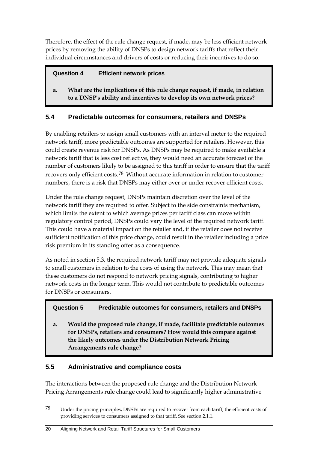Therefore, the effect of the rule change request, if made, may be less efficient network prices by removing the ability of DNSPs to design network tariffs that reflect their individual circumstances and drivers of costs or reducing their incentives to do so.

### **Question 4 Efficient network prices**

**a. What are the implications of this rule change request, if made, in relation to a DNSP's ability and incentives to develop its own network prices?**

### **5.4 Predictable outcomes for consumers, retailers and DNSPs**

By enabling retailers to assign small customers with an interval meter to the required network tariff, more predictable outcomes are supported for retailers. However, this could create revenue risk for DNSPs. As DNSPs may be required to make available a network tariff that is less cost reflective, they would need an accurate forecast of the number of customers likely to be assigned to this tariff in order to ensure that the tariff recovers only efficient costs.[78](#page-22-0) Without accurate information in relation to customer numbers, there is a risk that DNSPs may either over or under recover efficient costs.

Under the rule change request, DNSPs maintain discretion over the level of the network tariff they are required to offer. Subject to the side constraints mechanism, which limits the extent to which average prices per tariff class can move within regulatory control period, DNSPs could vary the level of the required network tariff. This could have a material impact on the retailer and, if the retailer does not receive sufficient notification of this price change, could result in the retailer including a price risk premium in its standing offer as a consequence.

As noted in section 5.3, the required network tariff may not provide adequate signals to small customers in relation to the costs of using the network. This may mean that these customers do not respond to network pricing signals, contributing to higher network costs in the longer term. This would not contribute to predictable outcomes for DNSPs or consumers.

### **Question 5 Predictable outcomes for consumers, retailers and DNSPs**

**a. Would the proposed rule change, if made, facilitate predictable outcomes for DNSPs, retailers and consumers? How would this compare against the likely outcomes under the Distribution Network Pricing Arrangements rule change?**

### **5.5 Administrative and compliance costs**

-

The interactions between the proposed rule change and the Distribution Network Pricing Arrangements rule change could lead to significantly higher administrative

<span id="page-22-0"></span><sup>78</sup> Under the pricing principles, DNSPs are required to recover from each tariff, the efficient costs of providing services to consumers assigned to that tariff. See section 2.1.1.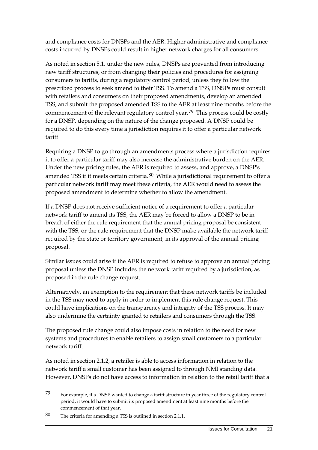and compliance costs for DNSPs and the AER. Higher administrative and compliance costs incurred by DNSPs could result in higher network charges for all consumers.

As noted in section 5.1, under the new rules, DNSPs are prevented from introducing new tariff structures, or from changing their policies and procedures for assigning consumers to tariffs, during a regulatory control period, unless they follow the prescribed process to seek amend to their TSS. To amend a TSS, DNSPs must consult with retailers and consumers on their proposed amendments, develop an amended TSS, and submit the proposed amended TSS to the AER at least nine months before the commencement of the relevant regulatory control year.<sup>[79](#page-23-0)</sup> This process could be costly for a DNSP, depending on the nature of the change proposed. A DNSP could be required to do this every time a jurisdiction requires it to offer a particular network tariff.

Requiring a DNSP to go through an amendments process where a jurisdiction requires it to offer a particular tariff may also increase the administrative burden on the AER. Under the new pricing rules, the AER is required to assess, and approve, a DNSP's amended TSS if it meets certain criteria.<sup>[80](#page-23-1)</sup> While a jurisdictional requirement to offer a particular network tariff may meet these criteria, the AER would need to assess the proposed amendment to determine whether to allow the amendment.

If a DNSP does not receive sufficient notice of a requirement to offer a particular network tariff to amend its TSS, the AER may be forced to allow a DNSP to be in breach of either the rule requirement that the annual pricing proposal be consistent with the TSS, or the rule requirement that the DNSP make available the network tariff required by the state or territory government, in its approval of the annual pricing proposal.

Similar issues could arise if the AER is required to refuse to approve an annual pricing proposal unless the DNSP includes the network tariff required by a jurisdiction, as proposed in the rule change request.

Alternatively, an exemption to the requirement that these network tariffs be included in the TSS may need to apply in order to implement this rule change request. This could have implications on the transparency and integrity of the TSS process. It may also undermine the certainty granted to retailers and consumers through the TSS.

The proposed rule change could also impose costs in relation to the need for new systems and procedures to enable retailers to assign small customers to a particular network tariff.

As noted in section 2.1.2, a retailer is able to access information in relation to the network tariff a small customer has been assigned to through NMI standing data. However, DNSPs do not have access to information in relation to the retail tariff that a

<span id="page-23-0"></span><sup>79</sup> For example, if a DNSP wanted to change a tariff structure in year three of the regulatory control period, it would have to submit its proposed amendment at least nine months before the commencement of that year.

<span id="page-23-1"></span><sup>80</sup> The criteria for amending a TSS is outlined in section 2.1.1.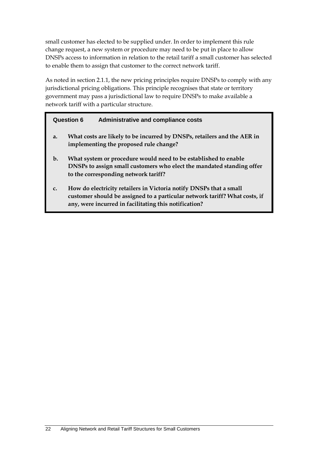small customer has elected to be supplied under. In order to implement this rule change request, a new system or procedure may need to be put in place to allow DNSPs access to information in relation to the retail tariff a small customer has selected to enable them to assign that customer to the correct network tariff.

As noted in section 2.1.1, the new pricing principles require DNSPs to comply with any jurisdictional pricing obligations. This principle recognises that state or territory government may pass a jurisdictional law to require DNSPs to make available a network tariff with a particular structure.

|       | <b>Question 6</b><br><b>Administrative and compliance costs</b>                                                                                                                                           |
|-------|-----------------------------------------------------------------------------------------------------------------------------------------------------------------------------------------------------------|
| a.    | What costs are likely to be incurred by DNSPs, retailers and the AER in<br>implementing the proposed rule change?                                                                                         |
| $b$ . | What system or procedure would need to be established to enable<br>DNSPs to assign small customers who elect the mandated standing offer<br>to the corresponding network tariff?                          |
| c.    | How do electricity retailers in Victoria notify DNSPs that a small<br>customer should be assigned to a particular network tariff? What costs, if<br>any, were incurred in facilitating this notification? |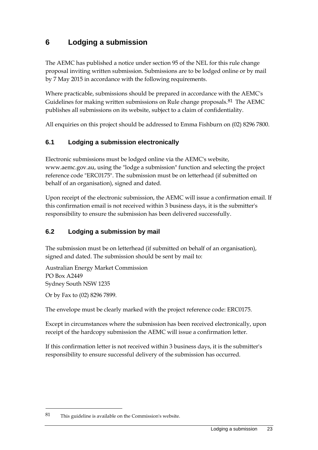# **6 Lodging a submission**

The AEMC has published a notice under section 95 of the NEL for this rule change proposal inviting written submission. Submissions are to be lodged online or by mail by 7 May 2015 in accordance with the following requirements.

Where practicable, submissions should be prepared in accordance with the AEMC's Guidelines for making written submissions on Rule change proposals. $81$  The AEMC publishes all submissions on its website, subject to a claim of confidentiality.

All enquiries on this project should be addressed to Emma Fishburn on (02) 8296 7800.

### **6.1 Lodging a submission electronically**

Electronic submissions must be lodged online via the AEMC's website, www.aemc.gov.au, using the "lodge a submission" function and selecting the project reference code "ERC0175". The submission must be on letterhead (if submitted on behalf of an organisation), signed and dated.

Upon receipt of the electronic submission, the AEMC will issue a confirmation email. If this confirmation email is not received within 3 business days, it is the submitter's responsibility to ensure the submission has been delivered successfully.

### **6.2 Lodging a submission by mail**

The submission must be on letterhead (if submitted on behalf of an organisation), signed and dated. The submission should be sent by mail to:

Australian Energy Market Commission PO Box A2449 Sydney South NSW 1235

Or by Fax to (02) 8296 7899.

-

The envelope must be clearly marked with the project reference code: ERC0175.

Except in circumstances where the submission has been received electronically, upon receipt of the hardcopy submission the AEMC will issue a confirmation letter.

If this confirmation letter is not received within 3 business days, it is the submitter's responsibility to ensure successful delivery of the submission has occurred.

<span id="page-25-0"></span><sup>81</sup> This guideline is available on the Commission's website.